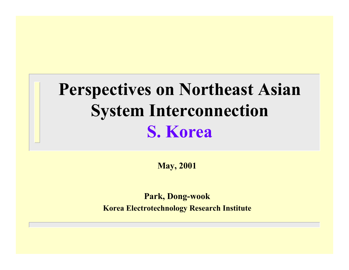# **Perspectives on Northeast Asian System Interconnection S. Korea**

**May, 2001**

**Park, Dong-wook**

**Korea Electrotechnology Research Institute**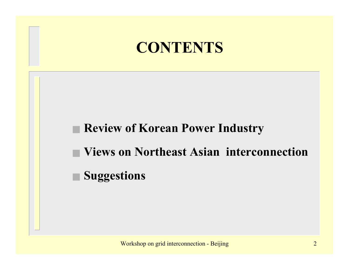### **CONTENTS**

#### ■ **Review of Korean Power Industry**

- **Views on Northeast Asian interconnection**
- **Suggestions**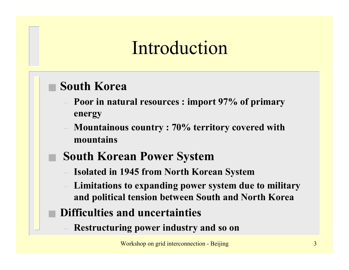# Introduction

#### ■ **South Korea**

- **Poor in natural resources : import 97% of primary energy**
- **Mountainous country : 70% territory covered with mountains**
- **South Korean Power System**
- **Isolated in 1945 from North Korean System**
- **Limitations to expanding power system due to military and political tension between South and North Korea**
- **Difficulties and uncertainties**
	- **Restructuring power industry and so on**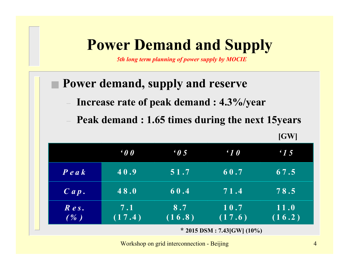### **Power Demand and Supply**

*5th long term planning of power supply by MOCIE*

#### ■ **Power demand, supply and reserve**

- **Increase rate of peak demand : 4.3%/year**
- **Peak demand : 1.65 times during the next 15years**

**[GW]**

|                   | $\boldsymbol{\theta}$           | $\epsilon$ 0 5 | $\cdot$ 10     | $\cdot$ 15     |
|-------------------|---------------------------------|----------------|----------------|----------------|
| $P$ e a $k$       | 40.9                            | 51.7           | 60.7           | 67.5           |
| Cap.              | 48.0                            | 60.4           | 71.4           | 78.5           |
| $R$ es.<br>$($ %) | 7.1<br>(17.4)                   | 8.7<br>(16.8)  | 10.7<br>(17.6) | 11.0<br>(16.2) |
|                   | * 2015 DSM : 7.43 [GW] $(10\%)$ |                |                |                |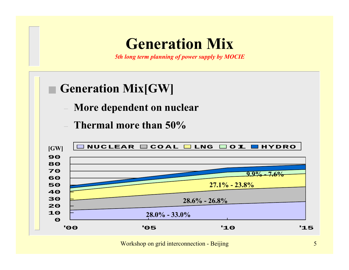### **Generation Mix**

*5th long term planning of power supply by MOCIE*

#### ■ Generation Mix[GW]

- **More dependent on nuclear**
- **Thermal more than 50%**

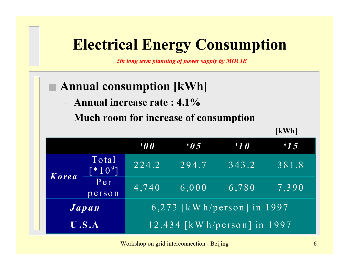### **Electrical Energy Consumption**

*5th long term planning of power supply by MOCIE*

### **Annual consumption [kWh]**

- **Annual increase rate : 4.1%**
- **Much room for increase of consumption**

**[kWh]**

|                                                   |                               | $\boldsymbol{\theta}$         | $\epsilon$ 0.5 | $\epsilon$ 10 | $\cdot$ 15 |
|---------------------------------------------------|-------------------------------|-------------------------------|----------------|---------------|------------|
| <b>Korea</b>                                      | Total<br>$\mathbb{R}^*10^9$ ] | 224.2                         | 294.7          | 343.2         | 381.8      |
|                                                   | Per<br>person                 | 4,740                         | 6,000          | 6,780         | 7,390      |
| 6,273 $\lceil kWh/person \rceil$ in 1997<br>Japan |                               |                               |                |               |            |
| U.S.A                                             |                               | $12,434$ [kWh/person] in 1997 |                |               |            |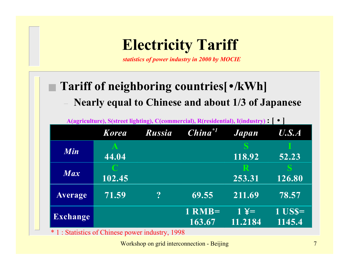## **Electricity Tariff**

*statistics of power industry in 2000 by MOCIE*

#### **Tariff of neighboring countries[•/kWh]**

**Nearly equal to Chinese and about 1/3 of Japanese**

| A(agriculture), S(street lighting), C(commercial), R(residential), I(industry):   ● |              |                  |                    |                           |                    |
|-------------------------------------------------------------------------------------|--------------|------------------|--------------------|---------------------------|--------------------|
|                                                                                     | <b>Korea</b> | <b>Russia</b>    | $China^{\ast 1}$   | Japan                     | U.S.A              |
| Min                                                                                 | 44.04        |                  |                    | 118.92                    | 52.23              |
| Max                                                                                 | 102.45       |                  |                    | R<br>253.31               | 126.80             |
| <b>Average</b>                                                                      | 71.59        | $\boldsymbol{P}$ | 69.55              | 211.69                    | 78.57              |
| <b>Exchange</b>                                                                     |              |                  | $1$ RMB=<br>163.67 | $1 \angle 4 =$<br>11.2184 | $1$ USS=<br>1145.4 |

\* 1 : Statistics of Chinese power industry, 1998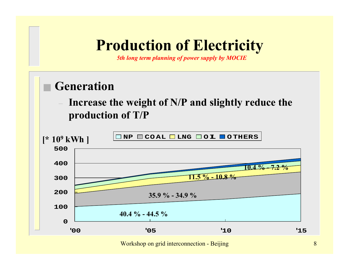### **Production of Electricity**

*5th long term planning of power supply by MOCIE*

#### **Generation**

 **Increase the weight of N/P and slightly reduce the production of T/P**

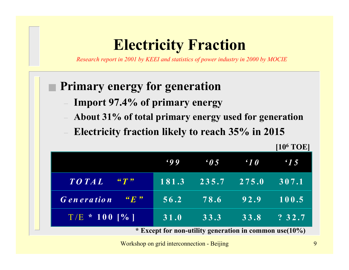### **Electricity Fraction**

*Research report in 2001 by KEEI and statistics of power industry in 2000 by MOCIE*

#### ■ **Primary energy for generation**

- **Import 97.4% of primary energy**
- **About 31% of total primary energy used for generation**
- **Electricity fraction likely to reach 35% in 2015**

|                                                            |             |                    |            | $[10^6$ TOE]  |
|------------------------------------------------------------|-------------|--------------------|------------|---------------|
|                                                            | $\cdot$ 9 9 | $\boldsymbol{0.5}$ | $\cdot$ 10 | $\epsilon$ 15 |
| TO TAL<br>$\mathcal{C}$ $\mathcal{T}$ $\mathcal{P}$        | 181.3       | 235.7              | 275.0      | 307.1         |
| $\lq\lq F$ $\lq$<br><b>Generation</b>                      | 56.2        | 78.6               | 92.9       | 100.5         |
| $T/E \stackrel{*}{\sim} 100$ [%]                           | 31.0        | 33.3               | 33.8       | ?32.7         |
| * Except for non-utility generation in common use $(10\%)$ |             |                    |            |               |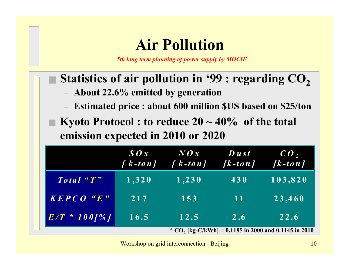### **Air Pollution**

*5th long term planning of power supply by MOCIE*

#### Statistics of air pollution in '99 : regarding CO<sub>2</sub>

- **About 22.6% emitted by generation**
- **Estimated price : about 600 million \$US based on \$25/ton**
- **Kyoto Protocol : to reduce 20 ~ 40% of the total emission expected in 2010 or 2020**

|                                                                                                          | $\boldsymbol{\mathcal{S}} \boldsymbol{\mathcal{O}} \boldsymbol{\mathcal{X}}$<br>$\int k$ - to n $\int$ | $N\mathbf{O}x$<br>$\left  \int k - to \, n \right $ | $\boldsymbol{D}$ ust<br>$[k-to n]$ | $ {\bm C} {\bm O}$ ,<br>$\sqrt{k-t}$ on $\sqrt{k}$ |
|----------------------------------------------------------------------------------------------------------|--------------------------------------------------------------------------------------------------------|-----------------------------------------------------|------------------------------------|----------------------------------------------------|
| Total "T"                                                                                                | $\overline{1,320}$                                                                                     | 1,230                                               | 430                                | 103,820                                            |
| $\overline{K}$ $\overline{F}$ $\overline{C}$ $\overline{O}$ $\overline{C}$ $\overline{E}$ $\overline{F}$ | 217                                                                                                    | 153                                                 | -11                                | 23,460                                             |
| $E/T \approx 100$ [%]                                                                                    | 16.5                                                                                                   | 12.5                                                | 2.6                                | 22.6                                               |
| * CO <sub>2</sub> [kg-C/kWh] : 0.1185 in 2000 and 0.1145 in 2010                                         |                                                                                                        |                                                     |                                    |                                                    |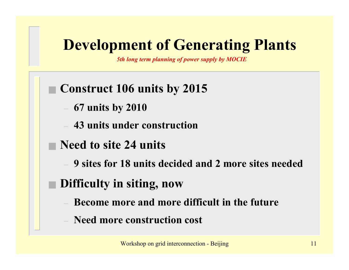## **Development of Generating Plants**

*5th long term planning of power supply by MOCIE*

#### ■ **Construct 106 units by 2015**

- **67 units by 2010**
- **43 units under construction**
- **Need to site 24 units**
	- **9 sites for 18 units decided and 2 more sites needed**

#### ■ **Difficulty in siting, now**

- **Become more and more difficult in the future**
- **Need more construction cost**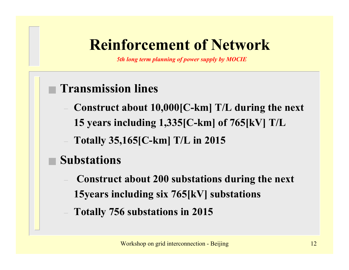## **Reinforcement of Network**

*5th long term planning of power supply by MOCIE*

### ■ **Transmission lines**

- **Construct about 10,000[C-km] T/L during the next 15 years including 1,335[C-km] of 765[kV] T/L**
- **Totally 35,165[C-km] T/L in 2015**

### **Substations**

- **Construct about 200 substations during the next 15years including six 765[kV] substations**
- **Totally 756 substations in 2015**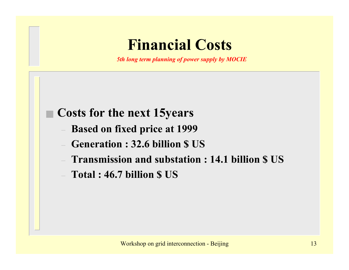### **Financial Costs**

*5th long term planning of power supply by MOCIE*

#### **Costs for the next 15years**

- **Based on fixed price at 1999**
- **Generation : 32.6 billion \$ US**
- **Transmission and substation : 14.1 billion \$ US**
- **Total : 46.7 billion \$ US**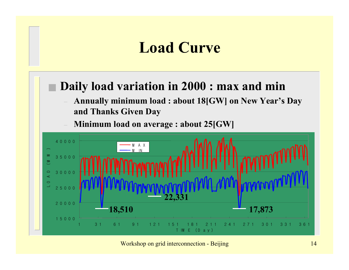# **Load Curve**

#### **Daily load variation in 2000 : max and min**

 **Annually minimum load : about 18[GW] on New Year's Day and Thanks Given Day**

**Minimum load on average : about 25[GW]** 



Workshop on grid interconnection - Beijing 14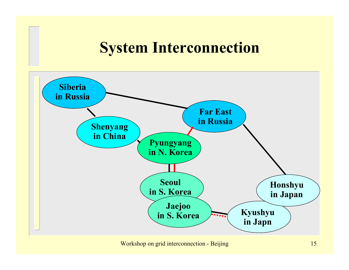### **System Interconnection**

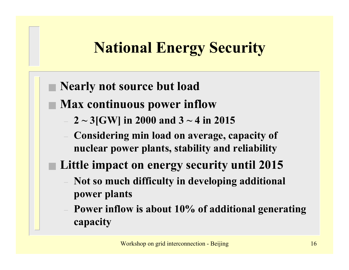# **National Energy Security**

#### **Nearly not source but load**

- **Max continuous power inflow**
	- **2 ~ 3[GW] in 2000 and 3 ~ 4 in 2015**
	- **Considering min load on average, capacity of nuclear power plants, stability and reliability**
- **Little impact on energy security until 2015**
	- **Not so much difficulty in developing additional power plants**
	- **Power inflow is about 10% of additional generating capacity**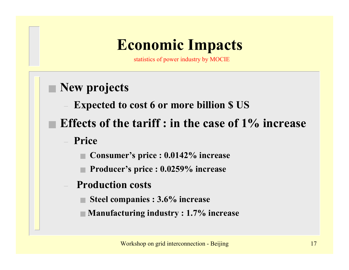# **Economic Impacts**

statistics of power industry by MOCIE

#### ■ **New projects**

- **Expected to cost 6 or more billion \$ US**
- **Effects of the tariff : in the case of 1% increase**
	- **Price**
		- **Consumer's price : 0.0142% increase**
		- **Producer's price : 0.0259% increase**
	- **Production costs**
		- **Steel companies : 3.6% increase**
		- **Manufacturing industry : 1.7% increase**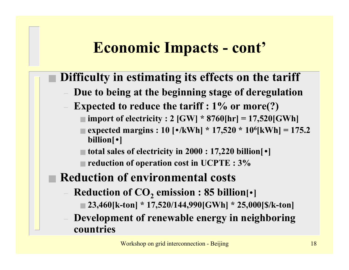# **Economic Impacts - cont'**

#### **Difficulty in estimating its effects on the tariff**

- **Due to being at the beginning stage of deregulation**
- **Expected to reduce the tariff : 1% or more(?)**
	- **import of electricity : 2 [GW] \* 8760[hr] = 17,520[GWh]**
	- **expected margins : 10 [•/kWh] \* 17,520 \* 106[kWh] = 175.2 billion[•]**
	- **total sales of electricity in 2000 : 17,220 billion[•]**
	- **reduction of operation cost in UCPTE : 3%**

#### **Reduction of environmental costs**

- $-$  Reduction of CO<sub>2</sub> emission : 85 billion[•]
	- **23,460[k-ton] \* 17,520/144,990[GWh] \* 25,000[\$/k-ton]**
- **Development of renewable energy in neighboring countries**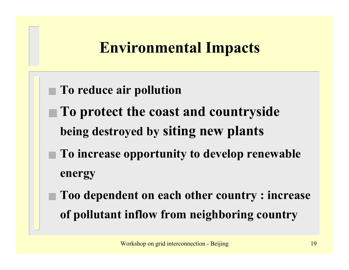# **Environmental Impacts**

- **To reduce air pollution**
- **To protect the coast and countryside being destroyed by siting new plants**
- **To increase opportunity to develop renewable energy**
- **Too dependent on each other country : increase of pollutant inflow from neighboring country**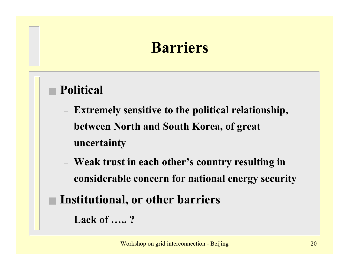## **Barriers**

#### ■ **Political**

- **Extremely sensitive to the political relationship, between North and South Korea, of great uncertainty**
- **Weak trust in each other's country resulting in considerable concern for national energy security**
- **Institutional, or other barriers**
	- **Lack of ….. ?**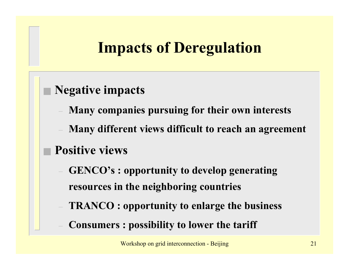# **Impacts of Deregulation**

#### ■ **Negative impacts**

- **Many companies pursuing for their own interests**
- **Many different views difficult to reach an agreement**

### ■ **Positive views**

- **GENCO's : opportunity to develop generating resources in the neighboring countries**
- **TRANCO : opportunity to enlarge the business**
- **Consumers : possibility to lower the tariff**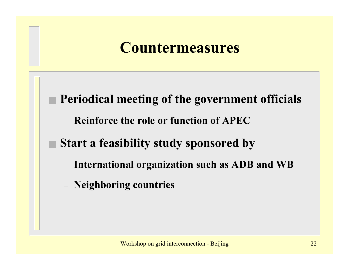### **Countermeasures**

■ Periodical meeting of the government officials

**Reinforce the role or function of APEC**

### **Start a feasibility study sponsored by**

- **International organization such as ADB and WB**
- **Neighboring countries**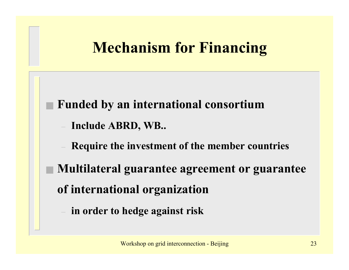# **Mechanism for Financing**

- **Funded by an international consortium**
	- **Include ABRD, WB..**
	- **Require the investment of the member countries**
- **Multilateral guarantee agreement or guarantee of international organization** 
	- **in order to hedge against risk**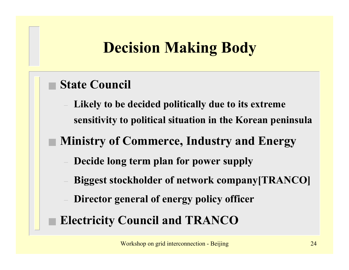# **Decision Making Body**

#### ■ **State Council**

 **Likely to be decided politically due to its extreme sensitivity to political situation in the Korean peninsula**

#### ■ **Ministry of Commerce, Industry and Energy**

- **Decide long term plan for power supply**
- **Biggest stockholder of network company[TRANCO]**
- **Director general of energy policy officer**
- **Electricity Council and TRANCO**